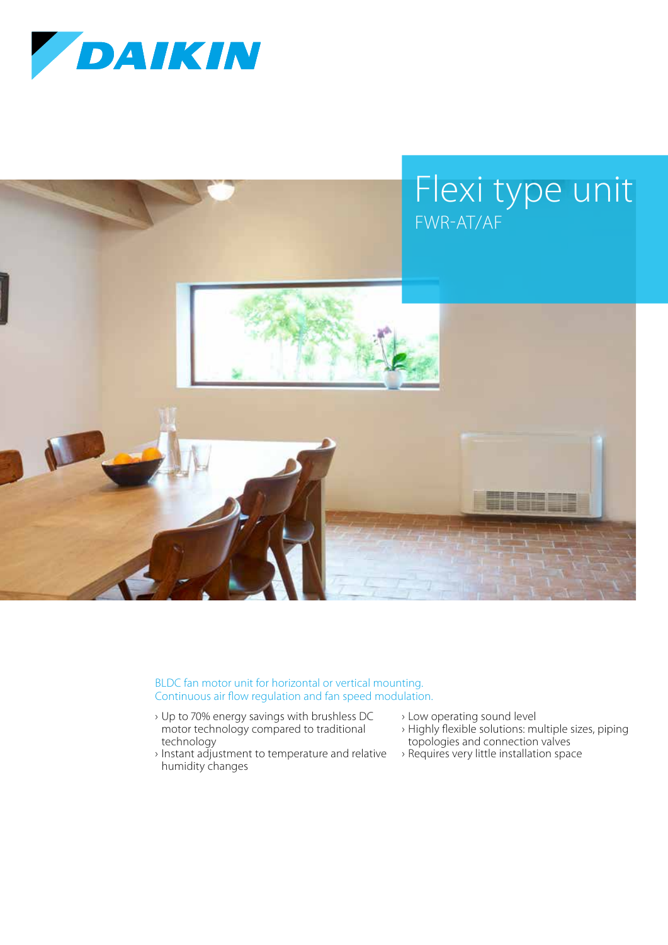



BLDC fan motor unit for horizontal or vertical mounting. Continuous air flow regulation and fan speed modulation.

- › Up to 70% energy savings with brushless DC motor technology compared to traditional technology
- › Instant adjustment to temperature and relative humidity changes
- › Low operating sound level
- › Highly flexible solutions: multiple sizes, piping topologies and connection valves
- › Requires very little installation space